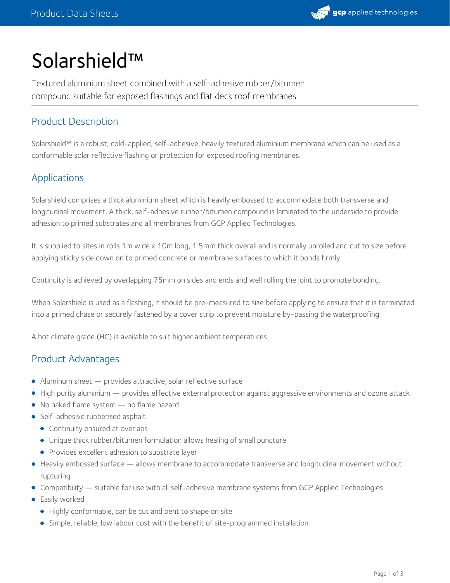

# Solarshield™

Textured aluminium sheet combined with a self-adhesive rubber/bitumen compound suitable for exposed flashings and flat deck roof membranes

# Product Description

Solarshield™ is a robust, cold-applied, self-adhesive, heavily textured aluminium membrane which can be used as a conformable solar reflective flashing or protection for exposed roofing membranes.

# Applications

Solarshield comprises a thick aluminium sheet which is heavily embossed to accommodate both transverse and longitudinal movement. A thick, self-adhesive rubber/bitumen compound is laminated to the underside to provide adhesion to primed substrates and all membranes from GCP Applied Technologies.

It is supplied to sites in rolls 1m wide x 10m long, 1.5mm thick overall and is normally unrolled and cut to size before applying sticky side down on to primed concrete or membrane surfaces to which it bonds firmly.

Continuity is achieved by overlapping 75mm on sides and ends and well rolling the joint to promote bonding.

When Solarshield is used as a flashing, it should be pre-measured to size before applying to ensure that it is terminated into a primed chase or securely fastened by a cover strip to prevent moisture by-passing the waterproofing.

A hot climate grade (HC) is available to suit higher ambient temperatures.

# Product Advantages

- Aluminum sheet provides attractive, solar reflective surface
- High purity aluminium provides effective external protection against aggressive environments and ozone attack
- No naked flame system no flame hazard
- Self-adhesive rubberised asphalt
	- **•** Continuity ensured at overlaps
	- Unique thick rubber/bitumen formulation allows healing of small puncture
	- **•** Provides excellent adhesion to substrate layer
- Heavily embossed surface allows membrane to accommodate transverse and longitudinal movement without rupturing
- Compatibility suitable for use with all self-adhesive membrane systems from GCP Applied Technologies
- **•** Easily worked
	- Highly conformable, can be cut and bent to shape on site
	- Simple, reliable, low labour cost with the benefit of site-programmed installation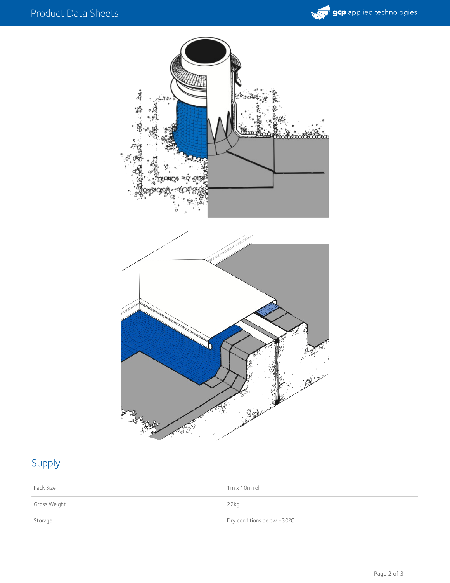



# Supply

| Pack Size    | $1m \times 10m$ roll       |
|--------------|----------------------------|
| Gross Weight | $22$ kg                    |
| Storage      | Dry conditions below +30°C |